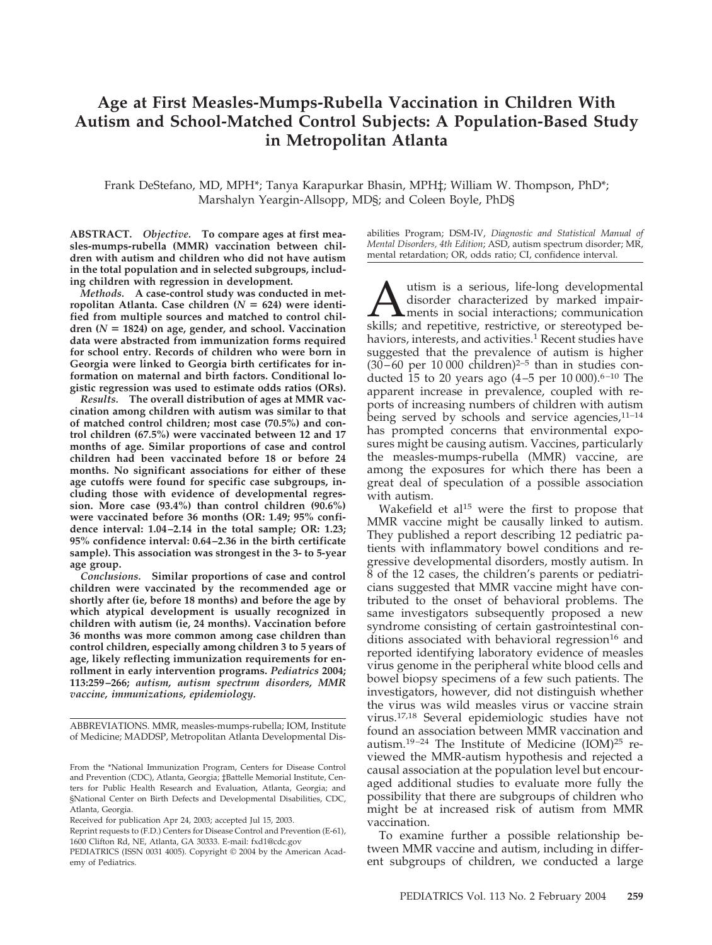# **Age at First Measles-Mumps-Rubella Vaccination in Children With Autism and School-Matched Control Subjects: A Population-Based Study in Metropolitan Atlanta**

Frank DeStefano, MD, MPH\*; Tanya Karapurkar Bhasin, MPH‡; William W. Thompson, PhD\*; Marshalyn Yeargin-Allsopp, MD§; and Coleen Boyle, PhD§

**ABSTRACT.** *Objective.* **To compare ages at first measles-mumps-rubella (MMR) vaccination between children with autism and children who did not have autism in the total population and in selected subgroups, including children with regression in development.**

*Methods.* **A case-control study was conducted in met**ropolitan Atlanta. Case children  $(N = 624)$  were identi**fied from multiple sources and matched to control children (***N* **1824) on age, gender, and school. Vaccination data were abstracted from immunization forms required for school entry. Records of children who were born in Georgia were linked to Georgia birth certificates for information on maternal and birth factors. Conditional logistic regression was used to estimate odds ratios (ORs).**

*Results.* **The overall distribution of ages at MMR vaccination among children with autism was similar to that of matched control children; most case (70.5%) and control children (67.5%) were vaccinated between 12 and 17 months of age. Similar proportions of case and control children had been vaccinated before 18 or before 24 months. No significant associations for either of these age cutoffs were found for specific case subgroups, including those with evidence of developmental regression. More case (93.4%) than control children (90.6%) were vaccinated before 36 months (OR: 1.49; 95% confidence interval: 1.04–2.14 in the total sample; OR: 1.23; 95% confidence interval: 0.64–2.36 in the birth certificate sample). This association was strongest in the 3- to 5-year age group.**

*Conclusions.* **Similar proportions of case and control children were vaccinated by the recommended age or shortly after (ie, before 18 months) and before the age by which atypical development is usually recognized in children with autism (ie, 24 months). Vaccination before 36 months was more common among case children than control children, especially among children 3 to 5 years of age, likely reflecting immunization requirements for enrollment in early intervention programs.** *Pediatrics* **2004; 113:259–266;** *autism, autism spectrum disorders, MMR vaccine, immunizations, epidemiology.*

abilities Program; DSM-IV, *Diagnostic and Statistical Manual of Mental Disorders, 4th Edition*; ASD, autism spectrum disorder; MR, mental retardation; OR, odds ratio; CI, confidence interval.

Autism is a serious, life-long developmental<br>disorder characterized by marked impair-<br>skills; and repetitive, restrictive, or stereotyped bedisorder characterized by marked impairments in social interactions; communication skills; and repetitive, restrictive, or stereotyped behaviors, interests, and activities.<sup>1</sup> Recent studies have suggested that the prevalence of autism is higher  $(30-60)$  per 10 000 children)<sup>2-5</sup> than in studies conducted  $15$  to 20 years ago (4–5 per 10 000).<sup>6–10</sup> The apparent increase in prevalence, coupled with reports of increasing numbers of children with autism being served by schools and service agencies, $11-14$ has prompted concerns that environmental exposures might be causing autism. Vaccines, particularly the measles-mumps-rubella (MMR) vaccine, are among the exposures for which there has been a great deal of speculation of a possible association with autism.

Wakefield et  $al^{15}$  were the first to propose that MMR vaccine might be causally linked to autism. They published a report describing 12 pediatric patients with inflammatory bowel conditions and regressive developmental disorders, mostly autism. In 8 of the 12 cases, the children's parents or pediatricians suggested that MMR vaccine might have contributed to the onset of behavioral problems. The same investigators subsequently proposed a new syndrome consisting of certain gastrointestinal conditions associated with behavioral regression $16$  and reported identifying laboratory evidence of measles virus genome in the peripheral white blood cells and bowel biopsy specimens of a few such patients. The investigators, however, did not distinguish whether the virus was wild measles virus or vaccine strain virus.17,18 Several epidemiologic studies have not found an association between MMR vaccination and autism.<sup>19-24</sup> The Institute of Medicine  $( IOM)^{25}$  reviewed the MMR-autism hypothesis and rejected a causal association at the population level but encouraged additional studies to evaluate more fully the possibility that there are subgroups of children who might be at increased risk of autism from MMR vaccination.

To examine further a possible relationship between MMR vaccine and autism, including in different subgroups of children, we conducted a large

ABBREVIATIONS. MMR, measles-mumps-rubella; IOM, Institute of Medicine; MADDSP, Metropolitan Atlanta Developmental Dis-

From the \*National Immunization Program, Centers for Disease Control and Prevention (CDC), Atlanta, Georgia; ‡Battelle Memorial Institute, Centers for Public Health Research and Evaluation, Atlanta, Georgia; and §National Center on Birth Defects and Developmental Disabilities, CDC, Atlanta, Georgia.

Received for publication Apr 24, 2003; accepted Jul 15, 2003.

Reprint requests to (F.D.) Centers for Disease Control and Prevention (E-61), 1600 Clifton Rd, NE, Atlanta, GA 30333. E-mail: fxd1@cdc.gov

PEDIATRICS (ISSN 0031 4005). Copyright © 2004 by the American Academy of Pediatrics.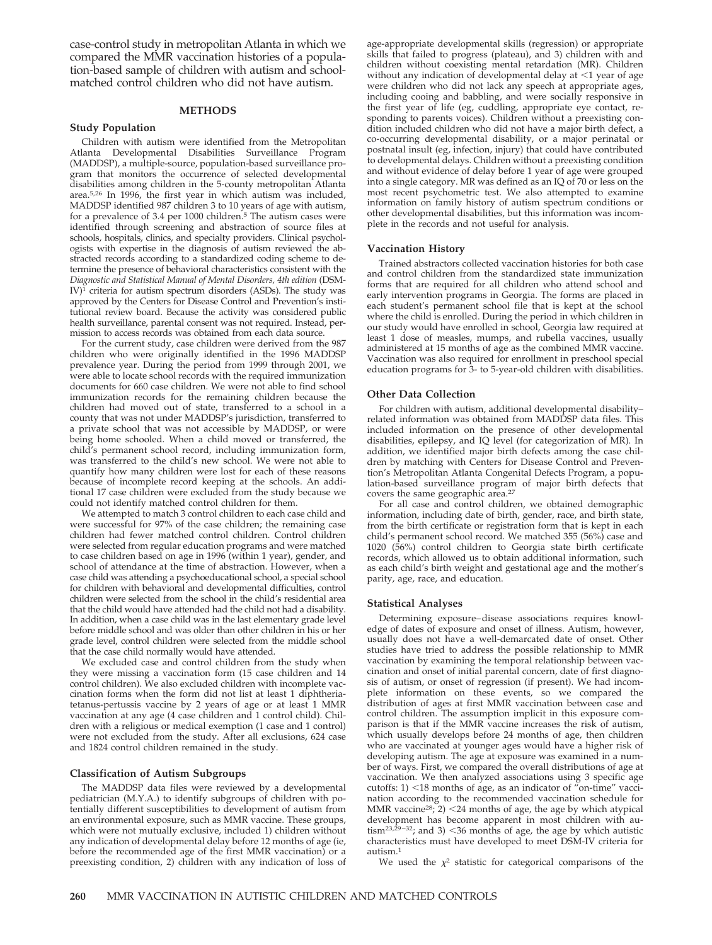case-control study in metropolitan Atlanta in which we compared the MMR vaccination histories of a population-based sample of children with autism and schoolmatched control children who did not have autism.

# **METHODS**

#### **Study Population**

Children with autism were identified from the Metropolitan Atlanta Developmental Disabilities Surveillance Program (MADDSP), a multiple-source, population-based surveillance program that monitors the occurrence of selected developmental disabilities among children in the 5-county metropolitan Atlanta area.5,26 In 1996, the first year in which autism was included, MADDSP identified 987 children 3 to 10 years of age with autism, for a prevalence of 3.4 per 1000 children.<sup>5</sup> The autism cases were identified through screening and abstraction of source files at schools, hospitals, clinics, and specialty providers. Clinical psychologists with expertise in the diagnosis of autism reviewed the abstracted records according to a standardized coding scheme to determine the presence of behavioral characteristics consistent with the *Diagnostic and Statistical Manual of Mental Disorders, 4th edition* (DSM- $IV$ <sup>I</sup> criteria for autism spectrum disorders (ASDs). The study was approved by the Centers for Disease Control and Prevention's institutional review board. Because the activity was considered public health surveillance, parental consent was not required. Instead, permission to access records was obtained from each data source.

For the current study, case children were derived from the 987 children who were originally identified in the 1996 MADDSP prevalence year. During the period from 1999 through 2001, we were able to locate school records with the required immunization documents for 660 case children. We were not able to find school immunization records for the remaining children because the children had moved out of state, transferred to a school in a county that was not under MADDSP's jurisdiction, transferred to a private school that was not accessible by MADDSP, or were being home schooled. When a child moved or transferred, the child's permanent school record, including immunization form, was transferred to the child's new school. We were not able to quantify how many children were lost for each of these reasons because of incomplete record keeping at the schools. An additional 17 case children were excluded from the study because we could not identify matched control children for them.

We attempted to match 3 control children to each case child and were successful for 97% of the case children; the remaining case children had fewer matched control children. Control children were selected from regular education programs and were matched to case children based on age in 1996 (within 1 year), gender, and school of attendance at the time of abstraction. However, when a case child was attending a psychoeducational school, a special school for children with behavioral and developmental difficulties, control children were selected from the school in the child's residential area that the child would have attended had the child not had a disability. In addition, when a case child was in the last elementary grade level before middle school and was older than other children in his or her grade level, control children were selected from the middle school that the case child normally would have attended.

We excluded case and control children from the study when they were missing a vaccination form (15 case children and 14 control children). We also excluded children with incomplete vaccination forms when the form did not list at least 1 diphtheriatetanus-pertussis vaccine by 2 years of age or at least 1 MMR vaccination at any age (4 case children and 1 control child). Children with a religious or medical exemption (1 case and 1 control) were not excluded from the study. After all exclusions, 624 case and 1824 control children remained in the study.

#### **Classification of Autism Subgroups**

The MADDSP data files were reviewed by a developmental pediatrician (M.Y.A.) to identify subgroups of children with potentially different susceptibilities to development of autism from an environmental exposure, such as MMR vaccine. These groups, which were not mutually exclusive, included 1) children without any indication of developmental delay before 12 months of age (ie, before the recommended age of the first MMR vaccination) or a preexisting condition, 2) children with any indication of loss of

age-appropriate developmental skills (regression) or appropriate skills that failed to progress (plateau), and 3) children with and children without coexisting mental retardation (MR). Children without any indication of developmental delay at  $\leq 1$  year of age were children who did not lack any speech at appropriate ages, including cooing and babbling, and were socially responsive in the first year of life (eg, cuddling, appropriate eye contact, responding to parents voices). Children without a preexisting condition included children who did not have a major birth defect, a co-occurring developmental disability, or a major perinatal or postnatal insult (eg, infection, injury) that could have contributed to developmental delays. Children without a preexisting condition and without evidence of delay before 1 year of age were grouped into a single category. MR was defined as an IQ of 70 or less on the most recent psychometric test. We also attempted to examine information on family history of autism spectrum conditions or other developmental disabilities, but this information was incomplete in the records and not useful for analysis.

#### **Vaccination History**

Trained abstractors collected vaccination histories for both case and control children from the standardized state immunization forms that are required for all children who attend school and early intervention programs in Georgia. The forms are placed in each student's permanent school file that is kept at the school where the child is enrolled. During the period in which children in our study would have enrolled in school, Georgia law required at least 1 dose of measles, mumps, and rubella vaccines, usually administered at 15 months of age as the combined MMR vaccine. Vaccination was also required for enrollment in preschool special education programs for 3- to 5-year-old children with disabilities.

#### **Other Data Collection**

For children with autism, additional developmental disability– related information was obtained from MADDSP data files. This included information on the presence of other developmental disabilities, epilepsy, and IQ level (for categorization of MR). In addition, we identified major birth defects among the case children by matching with Centers for Disease Control and Prevention's Metropolitan Atlanta Congenital Defects Program, a population-based surveillance program of major birth defects that covers the same geographic area.27

For all case and control children, we obtained demographic information, including date of birth, gender, race, and birth state, from the birth certificate or registration form that is kept in each child's permanent school record. We matched 355 (56%) case and 1020 (56%) control children to Georgia state birth certificate records, which allowed us to obtain additional information, such as each child's birth weight and gestational age and the mother's parity, age, race, and education.

#### **Statistical Analyses**

Determining exposure–disease associations requires knowledge of dates of exposure and onset of illness. Autism, however, usually does not have a well-demarcated date of onset. Other studies have tried to address the possible relationship to MMR vaccination by examining the temporal relationship between vaccination and onset of initial parental concern, date of first diagnosis of autism, or onset of regression (if present). We had incomplete information on these events, so we compared the distribution of ages at first MMR vaccination between case and control children. The assumption implicit in this exposure comparison is that if the MMR vaccine increases the risk of autism, which usually develops before 24 months of age, then children who are vaccinated at younger ages would have a higher risk of developing autism. The age at exposure was examined in a number of ways. First, we compared the overall distributions of age at vaccination. We then analyzed associations using 3 specific age cutoffs:  $1$ ) <18 months of age, as an indicator of "on-time" vaccination according to the recommended vaccination schedule for MMR vaccine<sup>28</sup>; 2) <24 months of age, the age by which atypical development has become apparent in most children with autism<sup>23,29-32</sup>; and 3) <36 months of age, the age by which autistic characteristics must have developed to meet DSM-IV criteria for autism.1

We used the  $\chi^2$  statistic for categorical comparisons of the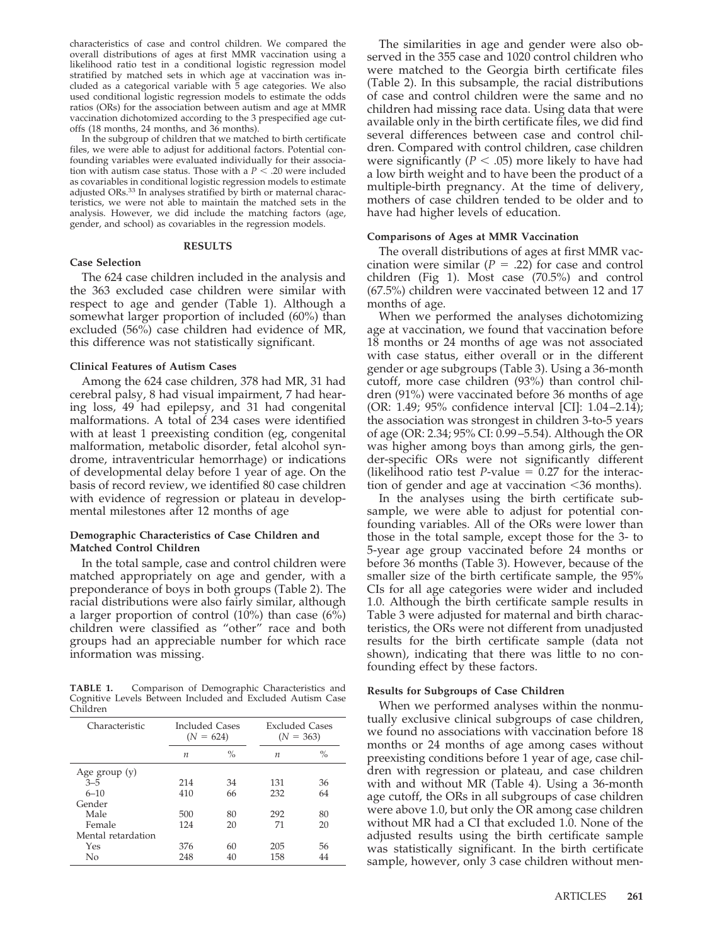characteristics of case and control children. We compared the overall distributions of ages at first MMR vaccination using a likelihood ratio test in a conditional logistic regression model stratified by matched sets in which age at vaccination was included as a categorical variable with 5 age categories. We also used conditional logistic regression models to estimate the odds ratios (ORs) for the association between autism and age at MMR vaccination dichotomized according to the 3 prespecified age cutoffs (18 months, 24 months, and 36 months).

In the subgroup of children that we matched to birth certificate files, we were able to adjust for additional factors. Potential confounding variables were evaluated individually for their association with autism case status. Those with a  $P < 0.20$  were included as covariables in conditional logistic regression models to estimate adjusted ORs.<sup>33</sup> In analyses stratified by birth or maternal characteristics, we were not able to maintain the matched sets in the analysis. However, we did include the matching factors (age, gender, and school) as covariables in the regression models.

#### **RESULTS**

# **Case Selection**

The 624 case children included in the analysis and the 363 excluded case children were similar with respect to age and gender (Table 1). Although a somewhat larger proportion of included (60%) than excluded (56%) case children had evidence of MR, this difference was not statistically significant.

### **Clinical Features of Autism Cases**

Among the 624 case children, 378 had MR, 31 had cerebral palsy, 8 had visual impairment, 7 had hearing loss, 49 had epilepsy, and 31 had congenital malformations. A total of 234 cases were identified with at least 1 preexisting condition (eg, congenital malformation, metabolic disorder, fetal alcohol syndrome, intraventricular hemorrhage) or indications of developmental delay before 1 year of age. On the basis of record review, we identified 80 case children with evidence of regression or plateau in developmental milestones after 12 months of age

### **Demographic Characteristics of Case Children and Matched Control Children**

In the total sample, case and control children were matched appropriately on age and gender, with a preponderance of boys in both groups (Table 2). The racial distributions were also fairly similar, although a larger proportion of control (10%) than case ( $6\%$ ) children were classified as "other" race and both groups had an appreciable number for which race information was missing.

**TABLE 1.** Comparison of Demographic Characteristics and Cognitive Levels Between Included and Excluded Autism Case Children

| Characteristic     | Included Cases<br>$(N = 624)$     |    | Excluded Cases<br>$(N = 363)$ |               |  |
|--------------------|-----------------------------------|----|-------------------------------|---------------|--|
|                    | $\frac{0}{0}$<br>$\boldsymbol{n}$ |    | $\boldsymbol{n}$              | $\frac{0}{0}$ |  |
| Age group $(y)$    |                                   |    |                               |               |  |
| $3 - 5$            | 214                               | 34 | 131                           | 36            |  |
| $6 - 10$           | 410                               | 66 | 232                           | 64            |  |
| Gender             |                                   |    |                               |               |  |
| Male               | 500                               | 80 | 292                           | 80            |  |
| Female             | 124                               | 20 | 71                            | 20            |  |
| Mental retardation |                                   |    |                               |               |  |
| Yes                | 376                               | 60 | 205                           | 56            |  |
| No                 | 248                               | 40 | 158                           | 44            |  |

The similarities in age and gender were also observed in the 355 case and 1020 control children who were matched to the Georgia birth certificate files (Table 2). In this subsample, the racial distributions of case and control children were the same and no children had missing race data. Using data that were available only in the birth certificate files, we did find several differences between case and control children. Compared with control children, case children were significantly  $(P < .05)$  more likely to have had a low birth weight and to have been the product of a multiple-birth pregnancy. At the time of delivery, mothers of case children tended to be older and to have had higher levels of education.

#### **Comparisons of Ages at MMR Vaccination**

The overall distributions of ages at first MMR vaccination were similar  $(P = .22)$  for case and control children (Fig 1). Most case (70.5%) and control (67.5%) children were vaccinated between 12 and 17 months of age.

When we performed the analyses dichotomizing age at vaccination, we found that vaccination before 18 months or 24 months of age was not associated with case status, either overall or in the different gender or age subgroups (Table 3). Using a 36-month cutoff, more case children (93%) than control children (91%) were vaccinated before 36 months of age (OR: 1.49; 95% confidence interval [CI]: 1.04–2.14); the association was strongest in children 3-to-5 years of age (OR: 2.34; 95% CI: 0.99–5.54). Although the OR was higher among boys than among girls, the gender-specific ORs were not significantly different (likelihood ratio test  $P$ -value = 0.27 for the interaction of gender and age at vaccination  $<36$  months).

In the analyses using the birth certificate subsample, we were able to adjust for potential confounding variables. All of the ORs were lower than those in the total sample, except those for the 3- to 5-year age group vaccinated before 24 months or before 36 months (Table 3). However, because of the smaller size of the birth certificate sample, the 95% CIs for all age categories were wider and included 1.0. Although the birth certificate sample results in Table 3 were adjusted for maternal and birth characteristics, the ORs were not different from unadjusted results for the birth certificate sample (data not shown), indicating that there was little to no confounding effect by these factors.

## **Results for Subgroups of Case Children**

When we performed analyses within the nonmutually exclusive clinical subgroups of case children, we found no associations with vaccination before 18 months or 24 months of age among cases without preexisting conditions before 1 year of age, case children with regression or plateau, and case children with and without MR (Table 4). Using a 36-month age cutoff, the ORs in all subgroups of case children were above 1.0, but only the OR among case children without MR had a CI that excluded 1.0. None of the adjusted results using the birth certificate sample was statistically significant. In the birth certificate sample, however, only 3 case children without men-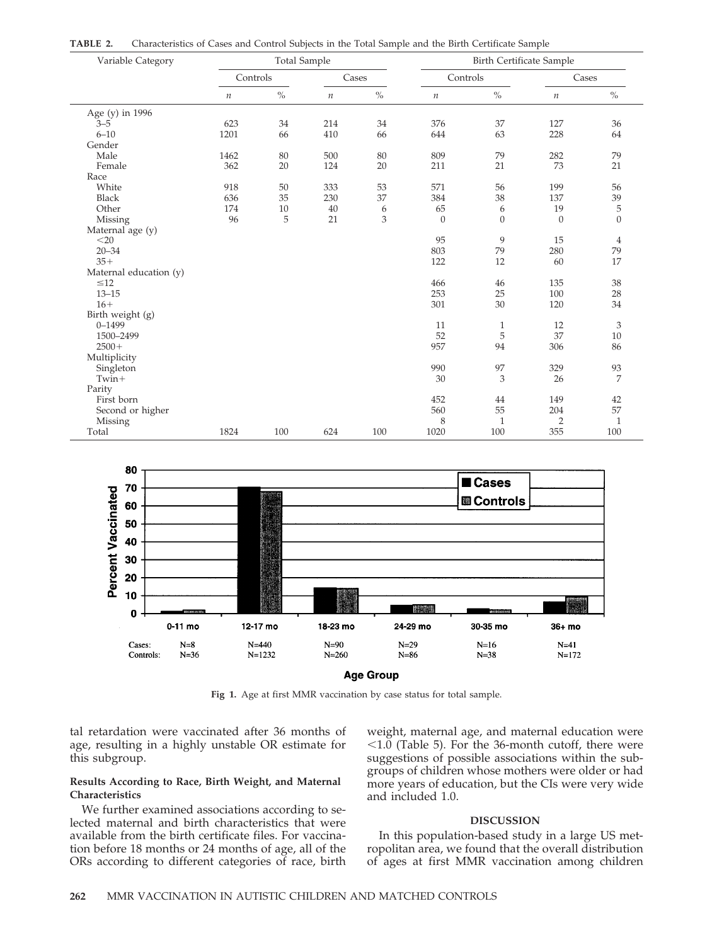| Characteristics of Cases and Control Subjects in the Total Sample and the Birth Certificate Sample<br>TABLE 2. |
|----------------------------------------------------------------------------------------------------------------|
|----------------------------------------------------------------------------------------------------------------|

| Variable Category      |                  | <b>Total Sample</b> |               |               |          | <b>Birth Certificate Sample</b> |                |                           |  |
|------------------------|------------------|---------------------|---------------|---------------|----------|---------------------------------|----------------|---------------------------|--|
|                        | Controls         |                     |               | Cases         |          | Controls                        |                | Cases                     |  |
|                        | $\boldsymbol{n}$ | $\frac{0}{0}$       | $\mathfrak n$ | $\frac{0}{0}$ | $\it n$  | $\frac{0}{0}$                   | $\it n$        | $\%$                      |  |
| Age (y) in 1996        |                  |                     |               |               |          |                                 |                |                           |  |
| $3 - 5$                | 623              | 34                  | 214           | 34            | 376      | 37                              | 127            | 36                        |  |
| $6 - 10$               | 1201             | 66                  | 410           | 66            | 644      | 63                              | 228            | 64                        |  |
| Gender                 |                  |                     |               |               |          |                                 |                |                           |  |
| Male                   | 1462             | 80                  | 500           | 80            | 809      | 79                              | 282            | 79                        |  |
| Female                 | 362              | 20                  | 124           | 20            | 211      | 21                              | 73             | 21                        |  |
| Race                   |                  |                     |               |               |          |                                 |                |                           |  |
| White                  | 918              | 50                  | 333           | 53            | 571      | 56                              | 199            | 56                        |  |
| <b>Black</b>           | 636              | 35                  | 230           | 37            | 384      | 38                              | 137            | 39                        |  |
| Other                  | 174              | 10                  | 40            | 6             | 65       | 6                               | 19             | 5                         |  |
| Missing                | 96               | 5                   | 21            | 3             | $\Omega$ | $\mathbf{0}$                    | $\theta$       | $\boldsymbol{0}$          |  |
| Maternal age (y)       |                  |                     |               |               |          |                                 |                |                           |  |
| $<$ 20                 |                  |                     |               |               | 95       | 9                               | 15             | 4                         |  |
| $20 - 34$              |                  |                     |               |               | 803      | 79                              | 280            | 79                        |  |
| $35+$                  |                  |                     |               |               | 122      | 12                              | 60             | 17                        |  |
| Maternal education (y) |                  |                     |               |               |          |                                 |                |                           |  |
| $\leq 12$              |                  |                     |               |               | 466      | 46                              | 135            | 38                        |  |
| $13 - 15$              |                  |                     |               |               | 253      | 25                              | 100            | 28                        |  |
| $16+$                  |                  |                     |               |               | 301      | 30                              | 120            | 34                        |  |
| Birth weight (g)       |                  |                     |               |               |          |                                 |                |                           |  |
| $0 - 1499$             |                  |                     |               |               | 11       | $\mathbf{1}$                    | 12             | $\ensuremath{\mathsf{3}}$ |  |
| 1500-2499              |                  |                     |               |               | 52       | 5                               | 37             | 10                        |  |
| $2500+$                |                  |                     |               |               | 957      | 94                              | 306            | 86                        |  |
| Multiplicity           |                  |                     |               |               |          |                                 |                |                           |  |
| Singleton              |                  |                     |               |               | 990      | 97                              | 329            | 93                        |  |
| $Twin+$                |                  |                     |               |               | 30       | 3                               | 26             | $\overline{7}$            |  |
| Parity                 |                  |                     |               |               |          |                                 |                |                           |  |
| First born             |                  |                     |               |               | 452      | 44                              | 149            | 42                        |  |
| Second or higher       |                  |                     |               |               | 560      | 55                              | 204            | 57                        |  |
| Missing                |                  |                     |               |               | 8        | $\mathbf{1}$                    | $\overline{2}$ | $\mathbf{1}$              |  |
| Total                  | 1824             | 100                 | 624           | 100           | 1020     | 100                             | 355            | 100                       |  |



**Fig 1.** Age at first MMR vaccination by case status for total sample.

tal retardation were vaccinated after 36 months of age, resulting in a highly unstable OR estimate for this subgroup.

# **Results According to Race, Birth Weight, and Maternal Characteristics**

We further examined associations according to selected maternal and birth characteristics that were available from the birth certificate files. For vaccination before 18 months or 24 months of age, all of the ORs according to different categories of race, birth

weight, maternal age, and maternal education were  $1.0$  (Table 5). For the 36-month cutoff, there were suggestions of possible associations within the subgroups of children whose mothers were older or had more years of education, but the CIs were very wide and included 1.0.

#### **DISCUSSION**

In this population-based study in a large US metropolitan area, we found that the overall distribution of ages at first MMR vaccination among children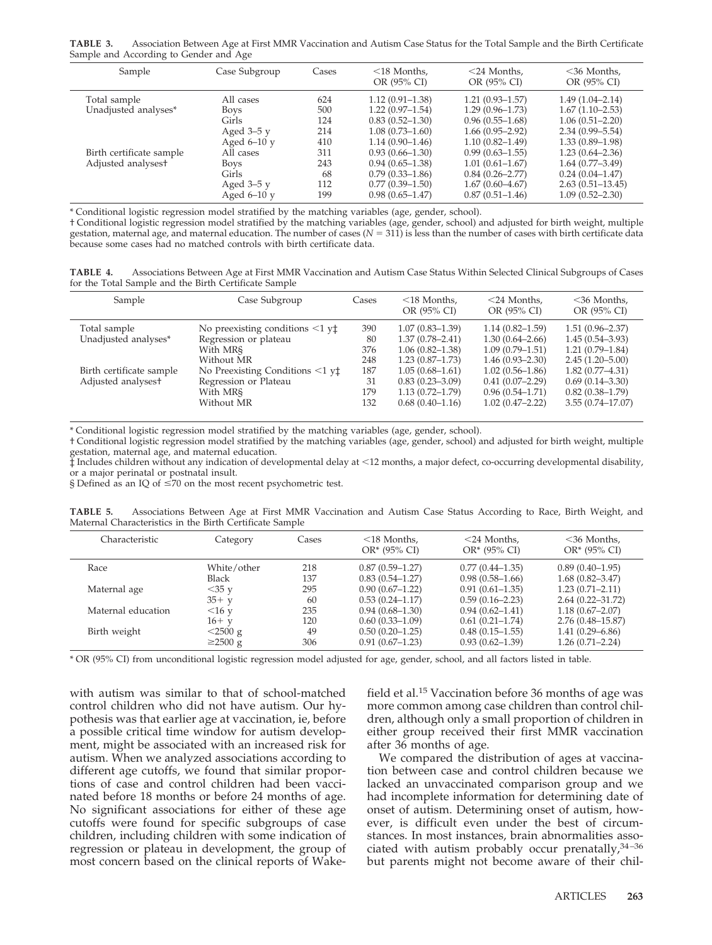**TABLE 3.** Association Between Age at First MMR Vaccination and Autism Case Status for the Total Sample and the Birth Certificate Sample and According to Gender and Age

| Sample                               | Case Subgroup                | Cases      | $<$ 18 Months,<br>OR (95% CI)            | $<$ 24 Months,<br>OR (95% CI)              | $<$ 36 Months,<br>OR (95% CI)               |
|--------------------------------------|------------------------------|------------|------------------------------------------|--------------------------------------------|---------------------------------------------|
| Total sample<br>Unadjusted analyses* | All cases<br><b>Boys</b>     | 624<br>500 | $1.12(0.91 - 1.38)$<br>$1.22(0.97-1.54)$ | $1.21(0.93 - 1.57)$<br>$1.29(0.96 - 1.73)$ | $1.49(1.04 - 2.14)$<br>$1.67(1.10-2.53)$    |
|                                      | Girls                        | 124        | $0.83(0.52 - 1.30)$                      | $0.96(0.55 - 1.68)$                        | $1.06(0.51 - 2.20)$                         |
|                                      | Aged $3-5y$<br>Aged $6-10$ y | 214<br>410 | $1.08(0.73 - 1.60)$<br>$1.14(0.90-1.46)$ | $1.66(0.95 - 2.92)$<br>$1.10(0.82 - 1.49)$ | $2.34(0.99 - 5.54)$<br>$1.33(0.89 - 1.98)$  |
| Birth certificate sample             | All cases                    | 311        | $0.93(0.66 - 1.30)$                      | $0.99(0.63 - 1.55)$                        | $1.23(0.64 - 2.36)$                         |
| Adjusted analysest                   | <b>Boys</b>                  | 243        | $0.94(0.65-1.38)$                        | $1.01(0.61 - 1.67)$                        | $1.64(0.77-3.49)$                           |
|                                      | Girls                        | 68         | $0.79(0.33 - 1.86)$                      | $0.84(0.26 - 2.77)$                        | $0.24(0.04-1.47)$                           |
|                                      | Aged $3-5y$<br>Aged $6-10$ y | 112<br>199 | $0.77(0.39-1.50)$<br>$0.98(0.65 - 1.47)$ | $1.67(0.60-4.67)$<br>$0.87(0.51 - 1.46)$   | $2.63(0.51 - 13.45)$<br>$1.09(0.52 - 2.30)$ |

\* Conditional logistic regression model stratified by the matching variables (age, gender, school).

† Conditional logistic regression model stratified by the matching variables (age, gender, school) and adjusted for birth weight, multiple gestation, maternal age, and maternal education. The number of cases (N = 311) is less than the number of cases with birth certificate data because some cases had no matched controls with birth certificate data.

**TABLE 4.** Associations Between Age at First MMR Vaccination and Autism Case Status Within Selected Clinical Subgroups of Cases for the Total Sample and the Birth Certificate Sample

| Sample                         | Case Subgroup                                   | Cases | $<$ 18 Months,<br>OR (95% CI) | $<$ 24 Months,<br>OR (95% CI) | $<$ 36 Months,<br>OR (95% CI) |
|--------------------------------|-------------------------------------------------|-------|-------------------------------|-------------------------------|-------------------------------|
| Total sample                   | No preexisting conditions $\leq 1$ y $\ddagger$ | 390   | $1.07(0.83 - 1.39)$           | $1.14(0.82 - 1.59)$           | $1.51(0.96 - 2.37)$           |
| Unadjusted analyses*           | Regression or plateau                           | 80    | $1.37(0.78 - 2.41)$           | $1.30(0.64 - 2.66)$           | $1.45(0.54 - 3.93)$           |
|                                | With MR§                                        | 376   | $1.06(0.82 - 1.38)$           | $1.09(0.79 - 1.51)$           | $1.21(0.79-1.84)$             |
|                                | Without MR                                      | 248   | $1.23(0.87-1.73)$             | $1.46(0.93 - 2.30)$           | $2.45(1.20 - 5.00)$           |
| Birth certificate sample       | No Preexisting Conditions $\leq 1$ yt           | 187   | $1.05(0.68 - 1.61)$           | $1.02(0.56 - 1.86)$           | $1.82(0.77-4.31)$             |
| Adjusted analyses <sup>+</sup> | Regression or Plateau                           | 31    | $0.83(0.23 - 3.09)$           | $0.41(0.07-2.29)$             | $0.69(0.14-3.30)$             |
|                                | With MR§                                        | 179   | $1.13(0.72 - 1.79)$           | $0.96(0.54 - 1.71)$           | $0.82(0.38-1.79)$             |
|                                | Without MR                                      | 132   | $0.68(0.40-1.16)$             | $1.02(0.47 - 2.22)$           | $3.55(0.74 - 17.07)$          |

\* Conditional logistic regression model stratified by the matching variables (age, gender, school).

† Conditional logistic regression model stratified by the matching variables (age, gender, school) and adjusted for birth weight, multiple gestation, maternal age, and maternal education.

‡ Includes children without any indication of developmental delay at 12 months, a major defect, co-occurring developmental disability, or a major perinatal or postnatal insult.

§ Defined as an IQ of  $\leq 70$  on the most recent psychometric test.

**TABLE 5.** Associations Between Age at First MMR Vaccination and Autism Case Status According to Race, Birth Weight, and Maternal Characteristics in the Birth Certificate Sample

| Characteristic     | Category      | Cases | $<$ 18 Months,<br>OR* (95% CI) | $<$ 24 Months.<br>$OR^*$ (95% CI) | $<36$ Months.<br>$OR^*$ (95% CI) |
|--------------------|---------------|-------|--------------------------------|-----------------------------------|----------------------------------|
| Race               | White/other   | 218   | $0.87(0.59 - 1.27)$            | $0.77(0.44 - 1.35)$               | $0.89(0.40-1.95)$                |
|                    | Black         | 137   | $0.83(0.54 - 1.27)$            | $0.98(0.58-1.66)$                 | $1.68(0.82 - 3.47)$              |
| Maternal age       | $<$ 35 y      | 295   | $0.90(0.67-1.22)$              | $0.91(0.61 - 1.35)$               | $1.23(0.71 - 2.11)$              |
|                    | $35 + y$      | 60    | $0.53(0.24 - 1.17)$            | $0.59(0.16 - 2.23)$               | $2.64(0.22 - 31.72)$             |
| Maternal education | $<16$ y       | 235   | $0.94(0.68 - 1.30)$            | $0.94(0.62 - 1.41)$               | $1.18(0.67 - 2.07)$              |
|                    | $16+$ v       | 120   | $0.60(0.33 - 1.09)$            | $0.61(0.21 - 1.74)$               | $2.76(0.48 - 15.87)$             |
| Birth weight       | $<$ 2500 g    | 49    | $0.50(0.20-1.25)$              | $0.48(0.15-1.55)$                 | $1.41(0.29 - 6.86)$              |
|                    | $\geq$ 2500 g | 306   | $0.91(0.67-1.23)$              | $0.93(0.62 - 1.39)$               | $1.26(0.71 - 2.24)$              |

\* OR (95% CI) from unconditional logistic regression model adjusted for age, gender, school, and all factors listed in table.

with autism was similar to that of school-matched control children who did not have autism. Our hypothesis was that earlier age at vaccination, ie, before a possible critical time window for autism development, might be associated with an increased risk for autism. When we analyzed associations according to different age cutoffs, we found that similar proportions of case and control children had been vaccinated before 18 months or before 24 months of age. No significant associations for either of these age cutoffs were found for specific subgroups of case children, including children with some indication of regression or plateau in development, the group of most concern based on the clinical reports of Wakefield et al.15 Vaccination before 36 months of age was more common among case children than control children, although only a small proportion of children in either group received their first MMR vaccination after 36 months of age.

We compared the distribution of ages at vaccination between case and control children because we lacked an unvaccinated comparison group and we had incomplete information for determining date of onset of autism. Determining onset of autism, however, is difficult even under the best of circumstances. In most instances, brain abnormalities associated with autism probably occur prenatally,<sup>34-36</sup> but parents might not become aware of their chil-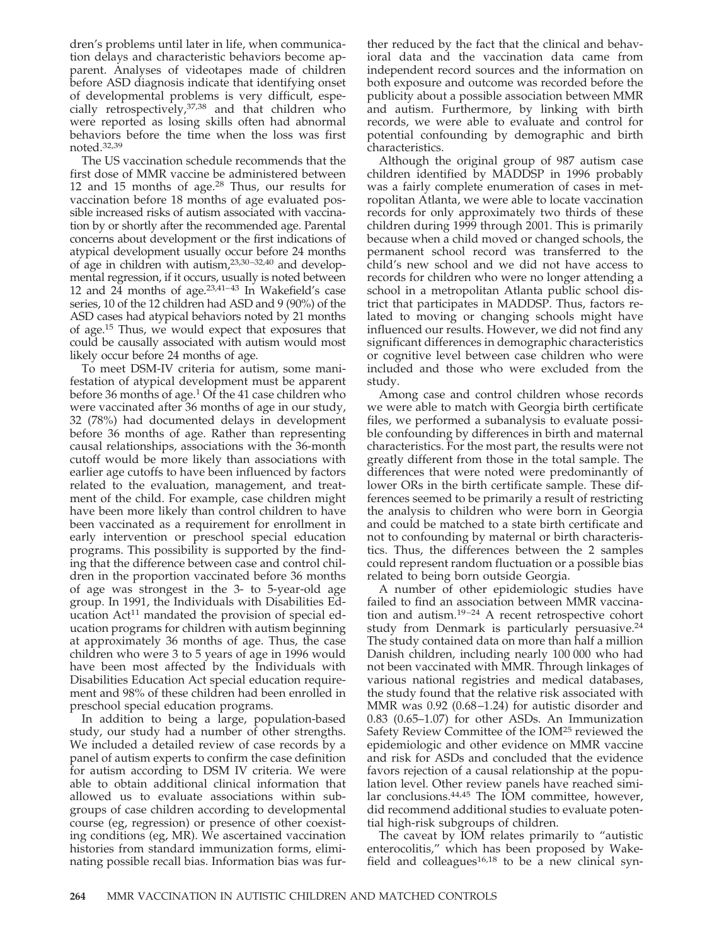dren's problems until later in life, when communication delays and characteristic behaviors become apparent. Analyses of videotapes made of children before ASD diagnosis indicate that identifying onset of developmental problems is very difficult, especially retrospectively,<sup>37,38</sup> and that children who were reported as losing skills often had abnormal behaviors before the time when the loss was first noted.32,39

The US vaccination schedule recommends that the first dose of MMR vaccine be administered between 12 and 15 months of age.<sup>28</sup> Thus, our results for vaccination before 18 months of age evaluated possible increased risks of autism associated with vaccination by or shortly after the recommended age. Parental concerns about development or the first indications of atypical development usually occur before 24 months of age in children with autism,23,30–32,40 and developmental regression, if it occurs, usually is noted between 12 and 24 months of age.23,41–43 In Wakefield's case series, 10 of the 12 children had ASD and 9 (90%) of the ASD cases had atypical behaviors noted by 21 months of age.15 Thus, we would expect that exposures that could be causally associated with autism would most likely occur before 24 months of age.

To meet DSM-IV criteria for autism, some manifestation of atypical development must be apparent before 36 months of age.<sup>1</sup> Of the 41 case children who were vaccinated after 36 months of age in our study, 32 (78%) had documented delays in development before 36 months of age. Rather than representing causal relationships, associations with the 36-month cutoff would be more likely than associations with earlier age cutoffs to have been influenced by factors related to the evaluation, management, and treatment of the child. For example, case children might have been more likely than control children to have been vaccinated as a requirement for enrollment in early intervention or preschool special education programs. This possibility is supported by the finding that the difference between case and control children in the proportion vaccinated before 36 months of age was strongest in the 3- to 5-year-old age group. In 1991, the Individuals with Disabilities Education Act<sup>11</sup> mandated the provision of special education programs for children with autism beginning at approximately 36 months of age. Thus, the case children who were 3 to 5 years of age in 1996 would have been most affected by the Individuals with Disabilities Education Act special education requirement and 98% of these children had been enrolled in preschool special education programs.

In addition to being a large, population-based study, our study had a number of other strengths. We included a detailed review of case records by a panel of autism experts to confirm the case definition for autism according to DSM IV criteria. We were able to obtain additional clinical information that allowed us to evaluate associations within subgroups of case children according to developmental course (eg, regression) or presence of other coexisting conditions (eg, MR). We ascertained vaccination histories from standard immunization forms, eliminating possible recall bias. Information bias was fur-

ther reduced by the fact that the clinical and behavioral data and the vaccination data came from independent record sources and the information on both exposure and outcome was recorded before the publicity about a possible association between MMR and autism. Furthermore, by linking with birth records, we were able to evaluate and control for potential confounding by demographic and birth characteristics.

Although the original group of 987 autism case children identified by MADDSP in 1996 probably was a fairly complete enumeration of cases in metropolitan Atlanta, we were able to locate vaccination records for only approximately two thirds of these children during 1999 through 2001. This is primarily because when a child moved or changed schools, the permanent school record was transferred to the child's new school and we did not have access to records for children who were no longer attending a school in a metropolitan Atlanta public school district that participates in MADDSP. Thus, factors related to moving or changing schools might have influenced our results. However, we did not find any significant differences in demographic characteristics or cognitive level between case children who were included and those who were excluded from the study.

Among case and control children whose records we were able to match with Georgia birth certificate files, we performed a subanalysis to evaluate possible confounding by differences in birth and maternal characteristics. For the most part, the results were not greatly different from those in the total sample. The differences that were noted were predominantly of lower ORs in the birth certificate sample. These differences seemed to be primarily a result of restricting the analysis to children who were born in Georgia and could be matched to a state birth certificate and not to confounding by maternal or birth characteristics. Thus, the differences between the 2 samples could represent random fluctuation or a possible bias related to being born outside Georgia.

A number of other epidemiologic studies have failed to find an association between MMR vaccination and autism.19–24 A recent retrospective cohort study from Denmark is particularly persuasive.<sup>24</sup> The study contained data on more than half a million Danish children, including nearly 100 000 who had not been vaccinated with MMR. Through linkages of various national registries and medical databases, the study found that the relative risk associated with MMR was 0.92 (0.68–1.24) for autistic disorder and 0.83 (0.65–1.07) for other ASDs. An Immunization Safety Review Committee of the IOM<sup>25</sup> reviewed the epidemiologic and other evidence on MMR vaccine and risk for ASDs and concluded that the evidence favors rejection of a causal relationship at the population level. Other review panels have reached similar conclusions.44,45 The IOM committee, however, did recommend additional studies to evaluate potential high-risk subgroups of children.

The caveat by IOM relates primarily to "autistic enterocolitis," which has been proposed by Wakefield and colleagues<sup>16,18</sup> to be a new clinical syn-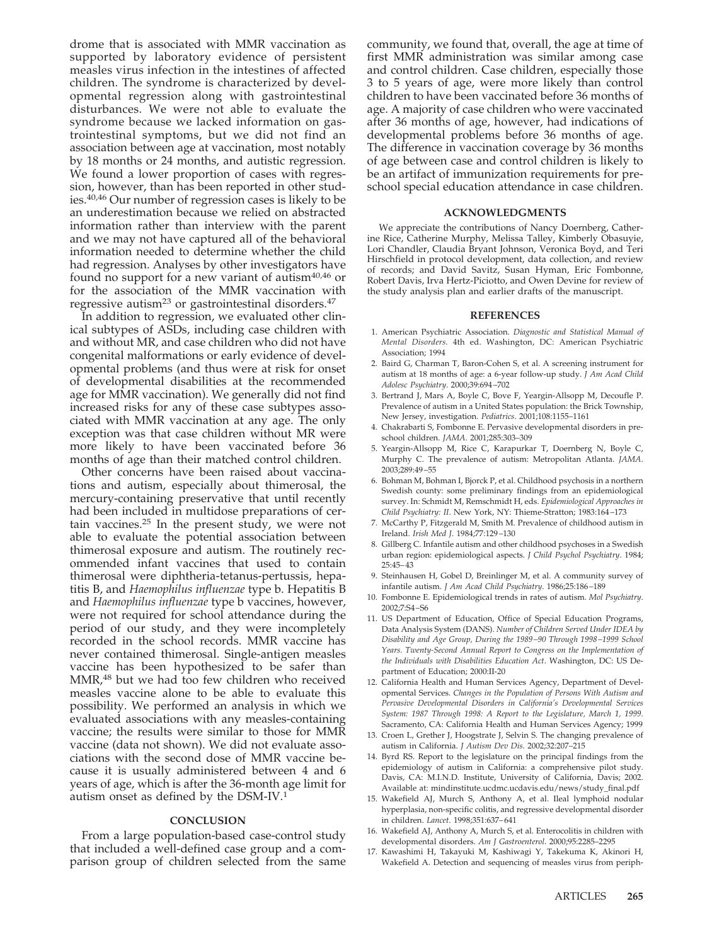drome that is associated with MMR vaccination as supported by laboratory evidence of persistent measles virus infection in the intestines of affected children. The syndrome is characterized by developmental regression along with gastrointestinal disturbances. We were not able to evaluate the syndrome because we lacked information on gastrointestinal symptoms, but we did not find an association between age at vaccination, most notably by 18 months or 24 months, and autistic regression. We found a lower proportion of cases with regression, however, than has been reported in other studies.40,46 Our number of regression cases is likely to be an underestimation because we relied on abstracted information rather than interview with the parent and we may not have captured all of the behavioral information needed to determine whether the child had regression. Analyses by other investigators have found no support for a new variant of autism $40,46$  or for the association of the MMR vaccination with regressive autism<sup>23</sup> or gastrointestinal disorders.<sup>47</sup>

In addition to regression, we evaluated other clinical subtypes of ASDs, including case children with and without MR, and case children who did not have congenital malformations or early evidence of developmental problems (and thus were at risk for onset of developmental disabilities at the recommended age for MMR vaccination). We generally did not find increased risks for any of these case subtypes associated with MMR vaccination at any age. The only exception was that case children without MR were more likely to have been vaccinated before 36 months of age than their matched control children.

Other concerns have been raised about vaccinations and autism, especially about thimerosal, the mercury-containing preservative that until recently had been included in multidose preparations of certain vaccines. $25$  In the present study, we were not able to evaluate the potential association between thimerosal exposure and autism. The routinely recommended infant vaccines that used to contain thimerosal were diphtheria-tetanus-pertussis, hepatitis B, and *Haemophilus influenzae* type b. Hepatitis B and *Haemophilus influenzae* type b vaccines, however, were not required for school attendance during the period of our study, and they were incompletely recorded in the school records. MMR vaccine has never contained thimerosal. Single-antigen measles vaccine has been hypothesized to be safer than MMR,<sup>48</sup> but we had too few children who received measles vaccine alone to be able to evaluate this possibility. We performed an analysis in which we evaluated associations with any measles-containing vaccine; the results were similar to those for MMR vaccine (data not shown). We did not evaluate associations with the second dose of MMR vaccine because it is usually administered between 4 and 6 years of age, which is after the 36-month age limit for autism onset as defined by the DSM-IV.1

# **CONCLUSION**

From a large population-based case-control study that included a well-defined case group and a comparison group of children selected from the same community, we found that, overall, the age at time of first MMR administration was similar among case and control children. Case children, especially those 3 to 5 years of age, were more likely than control children to have been vaccinated before 36 months of age. A majority of case children who were vaccinated after 36 months of age, however, had indications of developmental problems before 36 months of age. The difference in vaccination coverage by 36 months of age between case and control children is likely to be an artifact of immunization requirements for preschool special education attendance in case children.

#### **ACKNOWLEDGMENTS**

We appreciate the contributions of Nancy Doernberg, Catherine Rice, Catherine Murphy, Melissa Talley, Kimberly Obasuyie, Lori Chandler, Claudia Bryant Johnson, Veronica Boyd, and Teri Hirschfield in protocol development, data collection, and review of records; and David Savitz, Susan Hyman, Eric Fombonne, Robert Davis, Irva Hertz-Piciotto, and Owen Devine for review of the study analysis plan and earlier drafts of the manuscript.

#### **REFERENCES**

- 1. American Psychiatric Association. *Diagnostic and Statistical Manual of Mental Disorders.* 4th ed. Washington, DC: American Psychiatric Association; 1994
- 2. Baird G, Charman T, Baron-Cohen S, et al. A screening instrument for autism at 18 months of age: a 6-year follow-up study. *J Am Acad Child Adolesc Psychiatry*. 2000;39:694–702
- 3. Bertrand J, Mars A, Boyle C, Bove F, Yeargin-Allsopp M, Decoufle P. Prevalence of autism in a United States population: the Brick Township, New Jersey, investigation. *Pediatrics*. 2001;108:1155–1161
- 4. Chakrabarti S, Fombonne E. Pervasive developmental disorders in preschool children. *JAMA*. 2001;285:303–309
- 5. Yeargin-Allsopp M, Rice C, Karapurkar T, Doernberg N, Boyle C, Murphy C. The prevalence of autism: Metropolitan Atlanta. *JAMA*. 2003;289:49–55
- 6. Bohman M, Bohman I, Bjorck P, et al. Childhood psychosis in a northern Swedish county: some preliminary findings from an epidemiological survey. In: Schmidt M, Remschmidt H, eds. *Epidemiological Approaches in Child Psychiatry: II*. New York, NY: Thieme-Stratton; 1983:164–173
- 7. McCarthy P, Fitzgerald M, Smith M. Prevalence of childhood autism in Ireland. *Irish Med J*. 1984;77:129–130
- 8. Gillberg C. Infantile autism and other childhood psychoses in a Swedish urban region: epidemiological aspects. *J Child Psychol Psychiatry*. 1984; 25:45–43
- 9. Steinhausen H, Gobel D, Breinlinger M, et al. A community survey of infantile autism. *J Am Acad Child Psychiatry*. 1986;25:186–189
- 10. Fombonne E. Epidemiological trends in rates of autism. *Mol Psychiatry*. 2002;7:S4–S6
- 11. US Department of Education, Office of Special Education Programs, Data Analysis System (DANS). *Number of Children Served Under IDEA by Disability and Age Group, During the 1989–90 Through 1998–1999 School Years. Twenty-Second Annual Report to Congress on the Implementation of the Individuals with Disabilities Education Act*. Washington, DC: US Department of Education; 2000:II-20
- 12. California Health and Human Services Agency, Department of Developmental Services. *Changes in the Population of Persons With Autism and Pervasive Developmental Disorders in California's Developmental Services System: 1987 Through 1998: A Report to the Legislature, March 1, 1999*. Sacramento, CA: California Health and Human Services Agency; 1999
- 13. Croen L, Grether J, Hoogstrate J, Selvin S. The changing prevalence of autism in California. *J Autism Dev Dis*. 2002;32:207–215
- 14. Byrd RS. Report to the legislature on the principal findings from the epidemiology of autism in California: a comprehensive pilot study. Davis, CA: M.I.N.D. Institute, University of California, Davis; 2002. Available at: mindinstitute.ucdmc.ucdavis.edu/news/study\_final.pdf
- 15. Wakefield AJ, Murch S, Anthony A, et al. Ileal lymphoid nodular hyperplasia, non-specific colitis, and regressive developmental disorder in children. *Lancet*. 1998;351:637–641
- 16. Wakefield AJ, Anthony A, Murch S, et al. Enterocolitis in children with developmental disorders. *Am J Gastroenterol*. 2000;95:2285–2295
- 17. Kawashimi H, Takayuki M, Kashiwagi Y, Takekuma K, Akinori H, Wakefield A. Detection and sequencing of measles virus from periph-